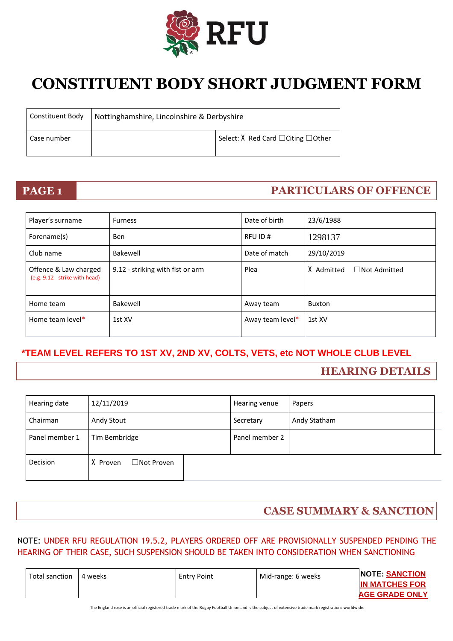

# **CONSTITUENT BODY SHORT JUDGMENT FORM**

| Constituent Body | Nottinghamshire, Lincolnshire & Derbyshire |                                                 |
|------------------|--------------------------------------------|-------------------------------------------------|
| Case number      |                                            | Select: $X$ Red Card $\Box$ Citing $\Box$ Other |

# **PAGE 1 PARTICULARS OF OFFENCE**

| Player's surname                                        | <b>Furness</b>                   | Date of birth    | 23/6/1988                         |
|---------------------------------------------------------|----------------------------------|------------------|-----------------------------------|
| Forename(s)                                             | <b>Ben</b>                       | RFU ID#          | 1298137                           |
| Club name                                               | Bakewell                         | Date of match    | 29/10/2019                        |
| Offence & Law charged<br>(e.g. 9.12 - strike with head) | 9.12 - striking with fist or arm | Plea             | X Admitted<br>$\Box$ Not Admitted |
| Home team                                               | Bakewell                         | Away team        | <b>Buxton</b>                     |
| Home team level*                                        | 1st XV                           | Away team level* | 1st XV                            |

## **\*TEAM LEVEL REFERS TO 1ST XV, 2ND XV, COLTS, VETS, etc NOT WHOLE CLUB LEVEL**

# **HEARING DETAILS**

| Hearing date   | 12/11/2019              | Hearing venue  | Papers       |
|----------------|-------------------------|----------------|--------------|
| Chairman       | Andy Stout              | Secretary      | Andy Statham |
| Panel member 1 | Tim Bembridge           | Panel member 2 |              |
| Decision       | □Not Proven<br>X Proven |                |              |

# **CASE SUMMARY & SANCTION**

### NOTE: UNDER RFU REGULATION 19.5.2, PLAYERS ORDERED OFF ARE PROVISIONALLY SUSPENDED PENDING THE HEARING OF THEIR CASE, SUCH SUSPENSION SHOULD BE TAKEN INTO CONSIDERATION WHEN SANCTIONING

The England rose is an official registered trade mark of the Rugby Football Union and is the subject of extensive trade mark registrations worldwide.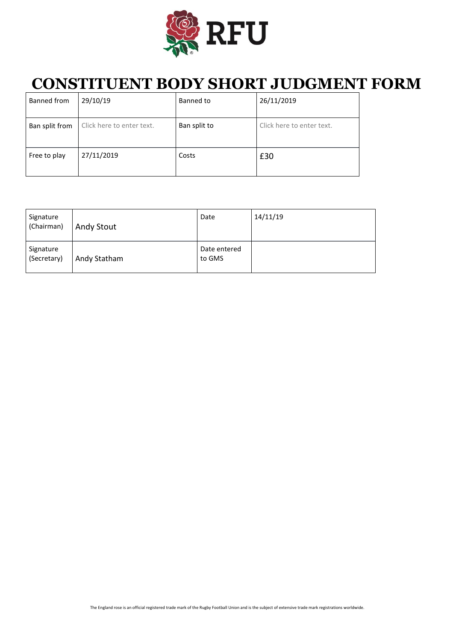

# **CONSTITUENT BODY SHORT JUDGMENT FORM**

| Banned from    | 29/10/19                  | Banned to    | 26/11/2019                |
|----------------|---------------------------|--------------|---------------------------|
| Ban split from | Click here to enter text. | Ban split to | Click here to enter text. |
| Free to play   | 27/11/2019                | Costs        | £30                       |

| Signature<br>(Chairman)  | <b>Andy Stout</b> | Date                   | 14/11/19 |
|--------------------------|-------------------|------------------------|----------|
| Signature<br>(Secretary) | Andy Statham      | Date entered<br>to GMS |          |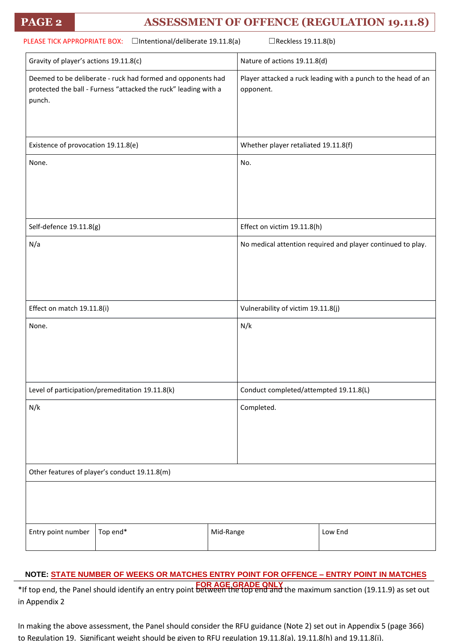# **PAGE 2 ASSESSMENT OF OFFENCE (REGULATION 19.11.8)**

| PLEASE TICK APPROPRIATE BOX: □Intentional/deliberate 19.11.8(a)                                                                          | □Reckless 19.11.8(b)                                                       |
|------------------------------------------------------------------------------------------------------------------------------------------|----------------------------------------------------------------------------|
| Gravity of player's actions 19.11.8(c)                                                                                                   | Nature of actions 19.11.8(d)                                               |
| Deemed to be deliberate - ruck had formed and opponents had<br>protected the ball - Furness "attacked the ruck" leading with a<br>punch. | Player attacked a ruck leading with a punch to the head of an<br>opponent. |
| Existence of provocation 19.11.8(e)                                                                                                      | Whether player retaliated 19.11.8(f)                                       |
| None.                                                                                                                                    | No.                                                                        |
| Self-defence 19.11.8(g)                                                                                                                  | Effect on victim 19.11.8(h)                                                |
| N/a                                                                                                                                      | No medical attention required and player continued to play.                |
| Effect on match 19.11.8(i)                                                                                                               | Vulnerability of victim 19.11.8(j)                                         |
| None.                                                                                                                                    | N/k                                                                        |
| Level of participation/premeditation 19.11.8(k)                                                                                          | Conduct completed/attempted 19.11.8(L)                                     |
| N/k                                                                                                                                      | Completed.                                                                 |
| Other features of player's conduct 19.11.8(m)                                                                                            |                                                                            |
|                                                                                                                                          |                                                                            |
| Top end*<br>Entry point number                                                                                                           | Mid-Range<br>Low End                                                       |

### **NOTE: STATE NUMBER OF WEEKS OR MATCHES ENTRY POINT FOR OFFENCE – ENTRY POINT IN MATCHES**

**FOR AGE GRADE ONLY** \*If top end, the Panel should identify an entry point between the top end and the maximum sanction (19.11.9) as set out in Appendix 2

In making the above assessment, the Panel should consider the RFU guidance (Note 2) set out in Appendix 5 (page 366) to Regulation 19. Significant weight should be given to RFU regulation 19.11.8(a), 19.11.8(h) and 19.11.8(i).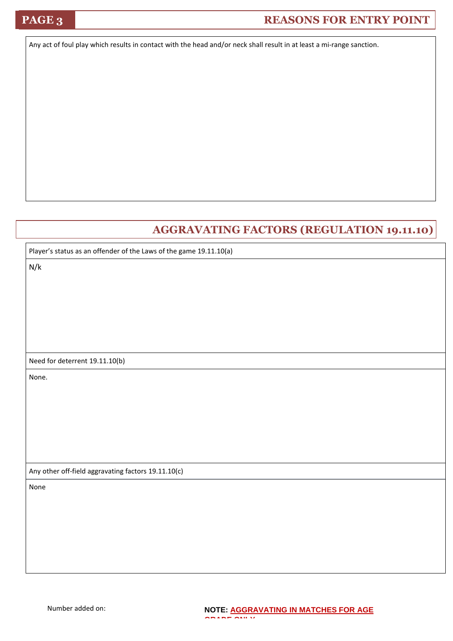# **PAGE 3 REASONS FOR ENTRY POINT**

Any act of foul play which results in contact with the head and/or neck shall result in at least a mi-range sanction.

# **AGGRAVATING FACTORS (REGULATION 19.11.10)**

| Player's status as an offender of the Laws of the game 19.11.10(a) |  |  |
|--------------------------------------------------------------------|--|--|
| N/k                                                                |  |  |
|                                                                    |  |  |
|                                                                    |  |  |
|                                                                    |  |  |
|                                                                    |  |  |
|                                                                    |  |  |
| Need for deterrent 19.11.10(b)                                     |  |  |
| None.                                                              |  |  |
|                                                                    |  |  |
|                                                                    |  |  |
|                                                                    |  |  |
|                                                                    |  |  |
|                                                                    |  |  |
| Any other off-field aggravating factors 19.11.10(c)                |  |  |
| None                                                               |  |  |
|                                                                    |  |  |
|                                                                    |  |  |
|                                                                    |  |  |
|                                                                    |  |  |
|                                                                    |  |  |

**GRADE ONLY**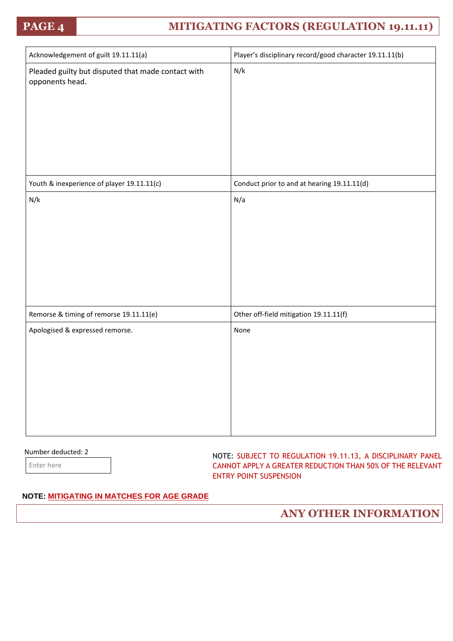# **PAGE 4 MITIGATING FACTORS (REGULATION 19.11.11)**

| Acknowledgement of guilt 19.11.11(a)                                  | Player's disciplinary record/good character 19.11.11(b) |
|-----------------------------------------------------------------------|---------------------------------------------------------|
| Pleaded guilty but disputed that made contact with<br>opponents head. | N/k                                                     |
| Youth & inexperience of player 19.11.11(c)                            | Conduct prior to and at hearing 19.11.11(d)             |
| N/k                                                                   | N/a                                                     |
| Remorse & timing of remorse 19.11.11(e)                               | Other off-field mitigation 19.11.11(f)                  |
| Apologised & expressed remorse.                                       | None                                                    |

### Number deducted: 2

Enter here

**ONLY**

NOTE: SUBJECT TO REGULATION 19.11.13, A DISCIPLINARY PANEL CANNOT APPLY A GREATER REDUCTION THAN 50% OF THE RELEVANT ENTRY POINT SUSPENSION

### **NOTE: MITIGATING IN MATCHES FOR AGE GRADE**

**ANY OTHER INFORMATION**